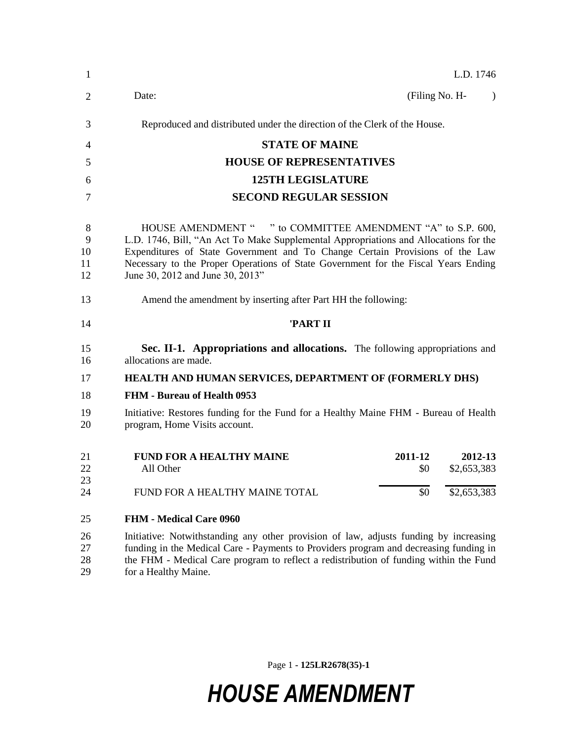| 1                        | L.D. 1746                                                                                                                                                                                                                                                                                                                                                     |  |  |  |  |
|--------------------------|---------------------------------------------------------------------------------------------------------------------------------------------------------------------------------------------------------------------------------------------------------------------------------------------------------------------------------------------------------------|--|--|--|--|
| 2                        | Date:<br>(Filing No. H-<br>$\lambda$                                                                                                                                                                                                                                                                                                                          |  |  |  |  |
| 3                        | Reproduced and distributed under the direction of the Clerk of the House.                                                                                                                                                                                                                                                                                     |  |  |  |  |
| 4                        | <b>STATE OF MAINE</b>                                                                                                                                                                                                                                                                                                                                         |  |  |  |  |
| 5                        | <b>HOUSE OF REPRESENTATIVES</b>                                                                                                                                                                                                                                                                                                                               |  |  |  |  |
| 6                        | <b>125TH LEGISLATURE</b>                                                                                                                                                                                                                                                                                                                                      |  |  |  |  |
| 7                        | <b>SECOND REGULAR SESSION</b>                                                                                                                                                                                                                                                                                                                                 |  |  |  |  |
| 8<br>9<br>10<br>11<br>12 | HOUSE AMENDMENT " " to COMMITTEE AMENDMENT "A" to S.P. 600,<br>L.D. 1746, Bill, "An Act To Make Supplemental Appropriations and Allocations for the<br>Expenditures of State Government and To Change Certain Provisions of the Law<br>Necessary to the Proper Operations of State Government for the Fiscal Years Ending<br>June 30, 2012 and June 30, 2013" |  |  |  |  |
| 13                       | Amend the amendment by inserting after Part HH the following:                                                                                                                                                                                                                                                                                                 |  |  |  |  |
| 14                       | 'PART II                                                                                                                                                                                                                                                                                                                                                      |  |  |  |  |
| 15<br>16                 | Sec. II-1. Appropriations and allocations. The following appropriations and<br>allocations are made.                                                                                                                                                                                                                                                          |  |  |  |  |
| 17                       | HEALTH AND HUMAN SERVICES, DEPARTMENT OF (FORMERLY DHS)                                                                                                                                                                                                                                                                                                       |  |  |  |  |
| 18                       | <b>FHM - Bureau of Health 0953</b>                                                                                                                                                                                                                                                                                                                            |  |  |  |  |
| 19<br>20                 | Initiative: Restores funding for the Fund for a Healthy Maine FHM - Bureau of Health<br>program, Home Visits account.                                                                                                                                                                                                                                         |  |  |  |  |
| 21<br>22<br>23           | <b>FUND FOR A HEALTHY MAINE</b><br>2011-12<br>2012-13<br>\$2,653,383<br>All Other<br>\$0                                                                                                                                                                                                                                                                      |  |  |  |  |
| 24                       | FUND FOR A HEALTHY MAINE TOTAL<br>\$0<br>\$2,653,383                                                                                                                                                                                                                                                                                                          |  |  |  |  |
| 25                       | <b>FHM - Medical Care 0960</b>                                                                                                                                                                                                                                                                                                                                |  |  |  |  |
| 26<br>27<br>28<br>29     | Initiative: Notwithstanding any other provision of law, adjusts funding by increasing<br>funding in the Medical Care - Payments to Providers program and decreasing funding in<br>the FHM - Medical Care program to reflect a redistribution of funding within the Fund<br>for a Healthy Maine.                                                               |  |  |  |  |

Page 1 **- 125LR2678(35)-1**

## *HOUSE AMENDMENT*